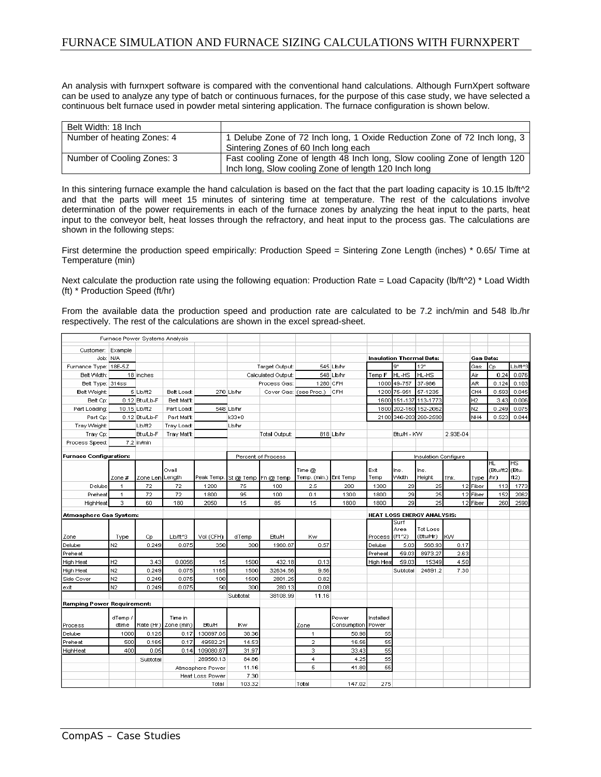## FURNACE SIMULATION AND FURNACE SIZING CALCULATIONS WITH FURNXPERT

An analysis with furnxpert software is compared with the conventional hand calculations. Although FurnXpert software can be used to analyze any type of batch or continuous furnaces, for the purpose of this case study, we have selected a continuous belt furnace used in powder metal sintering application. The furnace configuration is shown below.

| Belt Width: 18 Inch        |                                                                           |
|----------------------------|---------------------------------------------------------------------------|
| Number of heating Zones: 4 | 1 Delube Zone of 72 Inch long, 1 Oxide Reduction Zone of 72 Inch long, 3  |
|                            | Sintering Zones of 60 Inch long each                                      |
| Number of Cooling Zones: 3 | Fast cooling Zone of length 48 Inch long, Slow cooling Zone of length 120 |
|                            | Inch long, Slow cooling Zone of length 120 Inch long                      |

In this sintering furnace example the hand calculation is based on the fact that the part loading capacity is 10.15 lb/ft^2 and that the parts will meet 15 minutes of sintering time at temperature. The rest of the calculations involve determination of the power requirements in each of the furnace zones by analyzing the heat input to the parts, heat input to the conveyor belt, heat losses through the refractory, and heat input to the process gas. The calculations are shown in the following steps:

First determine the production speed empirically: Production Speed = Sintering Zone Length (inches) \* 0.65/ Time at Temperature (min)

Next calculate the production rate using the following equation: Production Rate = Load Capacity (lb/ft^2) \* Load Width (ft) \* Production Speed (ft/hr)

From the available data the production speed and production rate are calculated to be 7.2 inch/min and 548 lb./hr respectively. The rest of the calculations are shown in the excel spread-sheet.

|                                   |                               | Furnace Power Systems Analysis |                      |                        |           |                               |                        |                   |                                   |              |                                 |           |                  |           |           |
|-----------------------------------|-------------------------------|--------------------------------|----------------------|------------------------|-----------|-------------------------------|------------------------|-------------------|-----------------------------------|--------------|---------------------------------|-----------|------------------|-----------|-----------|
| Customer: Example                 |                               |                                |                      |                        |           |                               |                        |                   |                                   |              |                                 |           |                  |           |           |
|                                   | Job: N/A                      |                                |                      |                        |           |                               |                        |                   |                                   |              | <b>Insulation Thermal Data:</b> |           | <b>Gas Data:</b> |           |           |
| Furnance Type: 18E-5Z             |                               |                                |                      |                        |           | Target Output:                |                        | 545 Lb/hr         |                                   | lg"          | 12"                             |           | Gas              | Сp        | Lb/ft^3   |
| Belt Width:                       |                               | 18 inches                      |                      |                        |           | Calculated Output:            |                        | 548 Lb/hr         | Temp F                            | HL-HS        | HL-HS                           |           | Air              | 0.24      | 0.076     |
| Belt Type: 314ss                  |                               |                                |                      |                        |           | Process Gas:                  |                        | 1280 CFH          |                                   | 1000 49-757  | 37-986                          |           | AR               | 0.124     | 0.103     |
| Belt Weight:                      |                               | 5 Lb/ft2                       | <b>Belt Load:</b>    |                        | 270 Lb/hr |                               | Cover Gas: (see Proc.) | <b>CFH</b>        |                                   | 1200 75-951  | 57-1235                         |           | CH <sub>4</sub>  | 0.593     | 0.045     |
| Belt Cp:                          |                               | 0.12 Btu/Lb-F                  | <b>Belt Mat'l:</b>   |                        |           |                               |                        |                   |                                   |              | 1600 151-137 113-1773           |           | Н2               | 3.43      | 0.006     |
| Part Loading:                     |                               | 10.15 Lb/ft2                   | Part Load:           |                        | 548 Lb/hr |                               |                        |                   | 1800                              |              | 202-160 152-2062                |           | N2               | 0.249     | 0.075     |
| Part Cp:                          |                               | 0.12 Btu/Lb-F                  | Part Mat'l:          |                        | k33+0     |                               |                        |                   |                                   | 2100 346-203 | 260-2590                        |           | NH <sub>4</sub>  | 0.523     | 0.044     |
| Tray Weight:                      |                               | Lb/ft2                         | Tray Load:           |                        | Lb/hr     |                               |                        |                   |                                   |              |                                 |           |                  |           |           |
| Tray Cp:                          |                               | <b>Btu/Lb-F</b>                | Tray Mat'l:          |                        |           | Total Output:                 |                        | 818 Lb/hr         |                                   | Btu/H - KW   |                                 | 2.93E-04  |                  |           |           |
| Process Speed:                    |                               | 7.2 in/min                     |                      |                        |           |                               |                        |                   |                                   |              |                                 |           |                  |           |           |
|                                   | <b>Furnace Configuration:</b> |                                |                      | Percent of Process     |           |                               |                        |                   | Insulation Configure              |              |                                 |           |                  |           |           |
|                                   |                               |                                |                      |                        |           |                               |                        |                   |                                   |              |                                 |           |                  | <b>HL</b> | <b>HS</b> |
|                                   |                               |                                | Ovall                |                        |           |                               | Time @                 |                   | Exit                              | Ins.         | Ins.                            |           |                  | (Btu/ft2  | (Btu-     |
|                                   | Zone #                        | Zone Len Length                |                      |                        |           | Peak Temp. St@ Temp Fn @ Temp | Temp. (min.) Ent Temp  |                   | Temp                              | Width        | Height                          | Thk.      | Type             | (Ar)      | ft2)      |
| Delube                            | $\mathbf{1}$                  | 72                             | 72                   | 1200                   | 75        | 100                           | 2.5                    | 200               | 1300                              | 29           | 25                              |           | 12 Fiber         | 113       | 1773      |
| Preheat                           | $\overline{1}$                | 72                             | 72                   | 1800                   | 95        | 100                           | 0.1                    | 1300              | 1800                              | 29           | 25                              |           | 12 Fiber         | 152       | 2062      |
| HighHeat                          | з                             | 60                             | 180                  | 2050                   | 15        | 85                            | 15                     | 1800              | 1800                              | 29           | 25                              |           | 12 Fiber         | 260       | 2590      |
| Atmosphere Gas System:            |                               |                                |                      |                        |           |                               |                        |                   | <b>HEAT LOSS ENERGY ANALYSIS:</b> |              |                                 |           |                  |           |           |
|                                   |                               |                                |                      |                        |           |                               |                        |                   |                                   | Surf         |                                 |           |                  |           |           |
|                                   |                               |                                |                      |                        |           |                               |                        |                   |                                   | Area         | <b>Tot Loss</b>                 |           |                  |           |           |
| Zone                              | Type                          | Сp                             | Lb/ft^3              | Vol (CFH)              | dTemp     | <b>Btu/H</b>                  | Kw                     |                   | Process                           | (Ft^2)       | (Btu/Hr)                        | <b>kw</b> |                  |           |           |
| Delube                            | N <sub>2</sub>                | 0.249                          | 0.075                | 350                    | 300       | 1960.87                       | 0.57                   |                   | Delube                            | 5.03         | 568.93                          | 0.17      |                  |           |           |
| Preheat                           |                               |                                |                      |                        |           |                               |                        |                   | Preheat                           | 59.03        | 8973.27                         | 2.63      |                  |           |           |
| High Heat                         | H2                            | 3.43                           | 0.0056               | 15                     | 1500      | 432.18                        | 0.13                   |                   | <b>High Hea</b>                   | 59.03        | 15349                           | 4.50      |                  |           |           |
| High Heat                         | N <sub>2</sub>                | 0.249                          | 0.075                | 1165                   | 1500      | 32634.56                      | 9.56                   |                   |                                   | Subtotal     | 24891.2                         | 7.30      |                  |           |           |
| Side Cover                        | N <sub>2</sub>                | 0.249                          | 0.075                | 100                    | 1500      | 2801.25                       | 0.82                   |                   |                                   |              |                                 |           |                  |           |           |
| exit                              | N <sub>2</sub>                | 0.249                          | 0.075                | 50                     | 300       | 280.13                        | 0.08                   |                   |                                   |              |                                 |           |                  |           |           |
| <b>Ramping Power Requirement:</b> |                               |                                |                      |                        | Subtotal: | 38108.99                      | 11.16                  |                   |                                   |              |                                 |           |                  |           |           |
|                                   |                               |                                |                      |                        |           |                               |                        |                   |                                   |              |                                 |           |                  |           |           |
|                                   | dTemp/                        |                                | Time in              |                        |           |                               |                        | Power             | Installed                         |              |                                 |           |                  |           |           |
| Process                           | dtime                         |                                | Rate (Hr) Zone (min) | <b>Btu/H</b>           | Kw        |                               | Zone                   | Consumption Power |                                   |              |                                 |           |                  |           |           |
| Delube                            | 1000                          | 0.125                          | 0.17                 | 130897.05              | 38.36     |                               | 1                      | 50.98             | 55                                |              |                                 |           |                  |           |           |
| Preheat                           | 500                           | 0.165                          | 0.17                 | 49582.21               | 14.53     |                               | $\overline{2}$         | 16.56             | 55                                |              |                                 |           |                  |           |           |
| HighHeat                          | 400                           | 0.05                           | 0.14                 | 109080.87              | 31.97     |                               | з                      | 33.43             | 55                                |              |                                 |           |                  |           |           |
|                                   |                               | Subtotal                       |                      | 289560.13              | 84.86     |                               | 4                      | 4.25              | 55                                |              |                                 |           |                  |           |           |
|                                   |                               |                                |                      | Atmosphere Power       | 11.16     |                               | 5                      | 41.80             | 55                                |              |                                 |           |                  |           |           |
|                                   |                               |                                |                      | <b>Heat Loss Power</b> | 7.30      |                               |                        |                   |                                   |              |                                 |           |                  |           |           |
|                                   |                               |                                |                      | Total                  | 103.32    |                               | Total                  | 147.02            | 275                               |              |                                 |           |                  |           |           |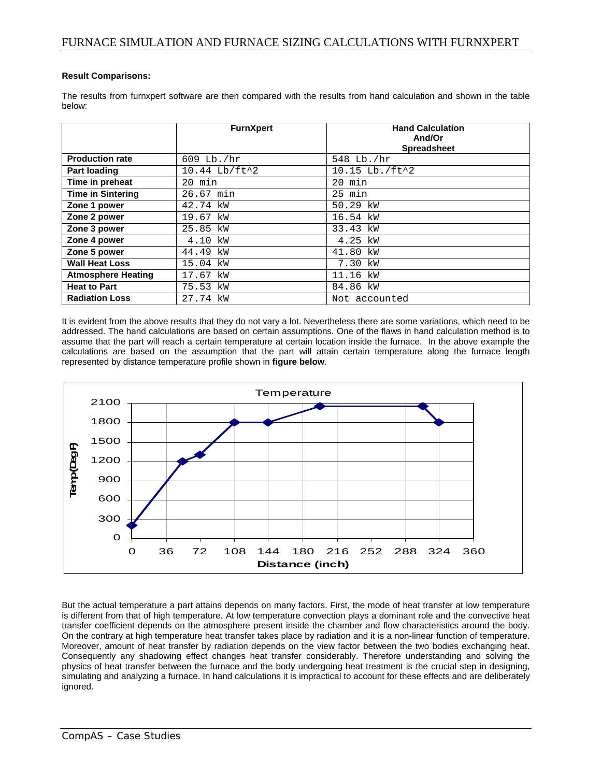## **Result Comparisons:**

The results from furnxpert software are then compared with the results from hand calculation and shown in the table below:

|                           | <b>FurnXpert</b>             | <b>Hand Calculation</b><br>And/Or |
|---------------------------|------------------------------|-----------------------------------|
|                           |                              | <b>Spreadsheet</b>                |
| <b>Production rate</b>    | 609 Lb./hr                   | 548 Lb./hr                        |
| <b>Part loading</b>       | $10.44$ Lb/ft <sup>2</sup> 2 | 10.15 Lb./ft^2                    |
| Time in preheat           | $20$ min                     | $20$ min                          |
| <b>Time in Sintering</b>  | 26.67 min                    | $25$ min                          |
| Zone 1 power              | 42.74 kW                     | 50.29 kW                          |
| Zone 2 power              | 19.67 kW                     | 16.54 kW                          |
| Zone 3 power              | 25.85 kW                     | 33.43 kW                          |
| Zone 4 power              | 4.10 kW                      | 4.25 kW                           |
| Zone 5 power              | 44.49 kW                     | 41.80 kW                          |
| <b>Wall Heat Loss</b>     | 15.04 kW                     | 7.30 kW                           |
| <b>Atmosphere Heating</b> | 17.67 kW                     | 11.16 kW                          |
| <b>Heat to Part</b>       | 75.53 kW                     | 84.86 kW                          |
| <b>Radiation Loss</b>     | 27.74 kW                     | Not accounted                     |

It is evident from the above results that they do not vary a lot. Nevertheless there are some variations, which need to be addressed. The hand calculations are based on certain assumptions. One of the flaws in hand calculation method is to assume that the part will reach a certain temperature at certain location inside the furnace. In the above example the calculations are based on the assumption that the part will attain certain temperature along the furnace length represented by distance temperature profile shown in **figure below**.



But the actual temperature a part attains depends on many factors. First, the mode of heat transfer at low temperature is different from that of high temperature. At low temperature convection plays a dominant role and the convective heat transfer coefficient depends on the atmosphere present inside the chamber and flow characteristics around the body. On the contrary at high temperature heat transfer takes place by radiation and it is a non-linear function of temperature. Moreover, amount of heat transfer by radiation depends on the view factor between the two bodies exchanging heat. Consequently any shadowing effect changes heat transfer considerably. Therefore understanding and solving the physics of heat transfer between the furnace and the body undergoing heat treatment is the crucial step in designing, simulating and analyzing a furnace. In hand calculations it is impractical to account for these effects and are deliberately ignored.